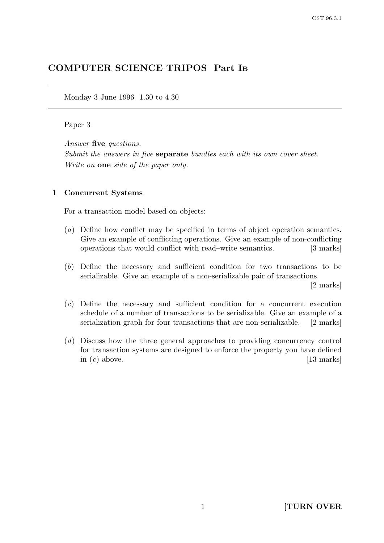# COMPUTER SCIENCE TRIPOS Part I<sup>B</sup>

Monday 3 June 1996 1.30 to 4.30

### Paper 3

Answer five questions.

Submit the answers in five separate bundles each with its own cover sheet. Write on **one** side of the paper only.

#### 1 Concurrent Systems

For a transaction model based on objects:

- (a) Define how conflict may be specified in terms of object operation semantics. Give an example of conflicting operations. Give an example of non-conflicting operations that would conflict with read–write semantics. [3 marks]
- (b) Define the necessary and sufficient condition for two transactions to be serializable. Give an example of a non-serializable pair of transactions.

[2 marks]

- (c) Define the necessary and sufficient condition for a concurrent execution schedule of a number of transactions to be serializable. Give an example of a serialization graph for four transactions that are non-serializable. [2 marks]
- (d) Discuss how the three general approaches to providing concurrency control for transaction systems are designed to enforce the property you have defined  $\text{in } (c) \text{ above.}$  [13 marks]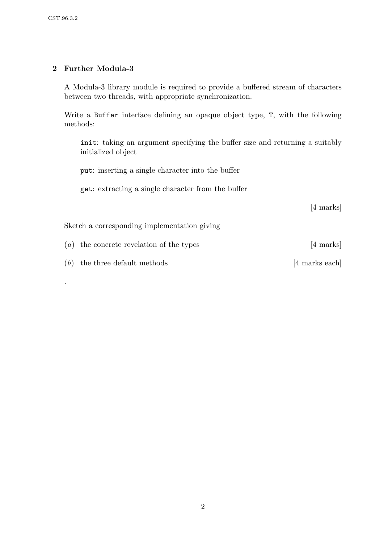.

# 2 Further Modula-3

A Modula-3 library module is required to provide a buffered stream of characters between two threads, with appropriate synchronization.

Write a Buffer interface defining an opaque object type, T, with the following methods:

init: taking an argument specifying the buffer size and returning a suitably initialized object

put: inserting a single character into the buffer

get: extracting a single character from the buffer

[4 marks]

Sketch a corresponding implementation giving

 $(a)$  the concrete revelation of the types [4 marks]

 $(b)$  the three default methods [4 marks each]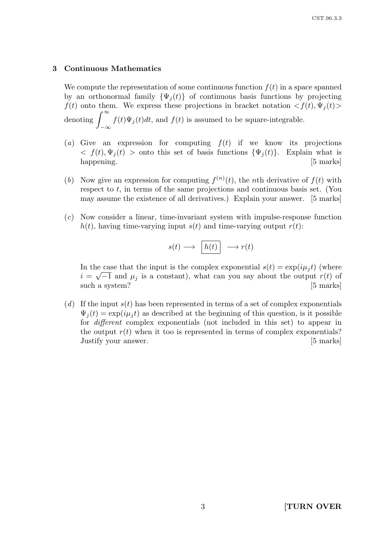#### 3 Continuous Mathematics

We compute the representation of some continuous function  $f(t)$  in a space spanned by an orthonormal family  $\{\Psi_i(t)\}\$  of continuous basis functions by projecting  $f(t)$  onto them. We express these projections in bracket notation  $\langle f(t), \Psi_j(t) \rangle$ denoting  $\int^{\infty}$  $-\infty$  $f(t)\Psi_j(t)dt$ , and  $f(t)$  is assumed to be square-integrable.

- (a) Give an expression for computing  $f(t)$  if we know its projections  $\langle f(t), \Psi_i(t) \rangle$  onto this set of basis functions  $\{\Psi_i(t)\}\$ . Explain what is happening. [5 marks]
- (b) Now give an expression for computing  $f^{(n)}(t)$ , the nth derivative of  $f(t)$  with respect to t, in terms of the same projections and continuous basis set. (You may assume the existence of all derivatives.) Explain your answer. [5 marks]
- (c) Now consider a linear, time-invariant system with impulse-response function  $h(t)$ , having time-varying input  $s(t)$  and time-varying output  $r(t)$ :

$$
s(t) \longrightarrow \begin{bmatrix} h(t) \end{bmatrix} \longrightarrow r(t)
$$

In the case that the input is the complex exponential  $s(t) = \exp(i\mu_j t)$  (where  $i = \sqrt{-1}$  and  $\mu_j$  is a constant), what can you say about the output  $r(t)$  of such a system? [5 marks]

(d) If the input  $s(t)$  has been represented in terms of a set of complex exponentials  $\Psi_i(t) = \exp(i\mu_i t)$  as described at the beginning of this question, is it possible for different complex exponentials (not included in this set) to appear in the output  $r(t)$  when it too is represented in terms of complex exponentials? Justify your answer. [5 marks]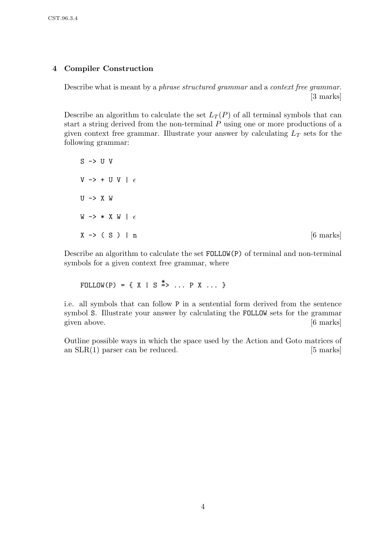### 4 Compiler Construction

Describe what is meant by a *phrase structured grammar* and a *context free grammar*. [3 marks]

Describe an algorithm to calculate the set  $L_T(P)$  of all terminal symbols that can start a string derived from the non-terminal P using one or more productions of a given context free grammar. Illustrate your answer by calculating  $L_T$  sets for the following grammar:

 $S \rightarrow U V$ V -> + U V |  $\epsilon$  $U \rightarrow X W$ W  $\rightarrow$  \* X W |  $\epsilon$  $X \rightarrow (S) \mid n$  [6 marks]

Describe an algorithm to calculate the set FOLLOW(P) of terminal and non-terminal symbols for a given context free grammar, where

FOLLOW(P) = {  $X$  | S  $\stackrel{*}{\Rightarrow}$  ... P X ... }

i.e. all symbols that can follow P in a sentential form derived from the sentence symbol S. Illustrate your answer by calculating the FOLLOW sets for the grammar given above. [6 marks]

Outline possible ways in which the space used by the Action and Goto matrices of an  $SLR(1)$  parser can be reduced. [5 marks]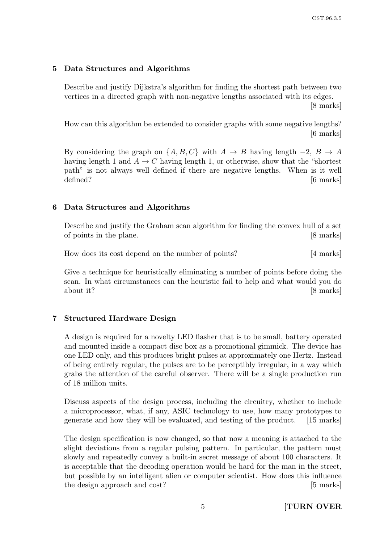#### 5 Data Structures and Algorithms

Describe and justify Dijkstra's algorithm for finding the shortest path between two vertices in a directed graph with non-negative lengths associated with its edges.

[8 marks]

How can this algorithm be extended to consider graphs with some negative lengths? [6 marks]

By considering the graph on  $\{A, B, C\}$  with  $A \rightarrow B$  having length  $-2$ ,  $B \rightarrow A$ having length 1 and  $A \rightarrow C$  having length 1, or otherwise, show that the "shortest" path" is not always well defined if there are negative lengths. When is it well defined? [6 marks]

#### 6 Data Structures and Algorithms

Describe and justify the Graham scan algorithm for finding the convex hull of a set of points in the plane. [8 marks]

How does its cost depend on the number of points? [4 marks]

Give a technique for heuristically eliminating a number of points before doing the scan. In what circumstances can the heuristic fail to help and what would you do about it? [8 marks]

#### 7 Structured Hardware Design

A design is required for a novelty LED flasher that is to be small, battery operated and mounted inside a compact disc box as a promotional gimmick. The device has one LED only, and this produces bright pulses at approximately one Hertz. Instead of being entirely regular, the pulses are to be perceptibly irregular, in a way which grabs the attention of the careful observer. There will be a single production run of 18 million units.

Discuss aspects of the design process, including the circuitry, whether to include a microprocessor, what, if any, ASIC technology to use, how many prototypes to generate and how they will be evaluated, and testing of the product. [15 marks]

The design specification is now changed, so that now a meaning is attached to the slight deviations from a regular pulsing pattern. In particular, the pattern must slowly and repeatedly convey a built-in secret message of about 100 characters. It is acceptable that the decoding operation would be hard for the man in the street, but possible by an intelligent alien or computer scientist. How does this influence the design approach and cost? [5 marks]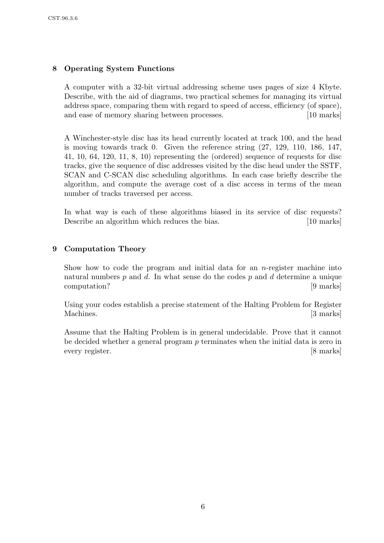# 8 Operating System Functions

A computer with a 32-bit virtual addressing scheme uses pages of size 4 Kbyte. Describe, with the aid of diagrams, two practical schemes for managing its virtual address space, comparing them with regard to speed of access, efficiency (of space), and ease of memory sharing between processes. [10 marks]

A Winchester-style disc has its head currently located at track 100, and the head is moving towards track 0. Given the reference string (27, 129, 110, 186, 147, 41, 10, 64, 120, 11, 8, 10) representing the (ordered) sequence of requests for disc tracks, give the sequence of disc addresses visited by the disc head under the SSTF, SCAN and C-SCAN disc scheduling algorithms. In each case briefly describe the algorithm, and compute the average cost of a disc access in terms of the mean number of tracks traversed per access.

In what way is each of these algorithms biased in its service of disc requests? Describe an algorithm which reduces the bias. [10 marks]

## 9 Computation Theory

Show how to code the program and initial data for an  $n$ -register machine into natural numbers  $p$  and  $d$ . In what sense do the codes  $p$  and  $d$  determine a unique computation? [9 marks]

Using your codes establish a precise statement of the Halting Problem for Register Machines. [3 marks]

Assume that the Halting Problem is in general undecidable. Prove that it cannot be decided whether a general program p terminates when the initial data is zero in every register. [8 marks]